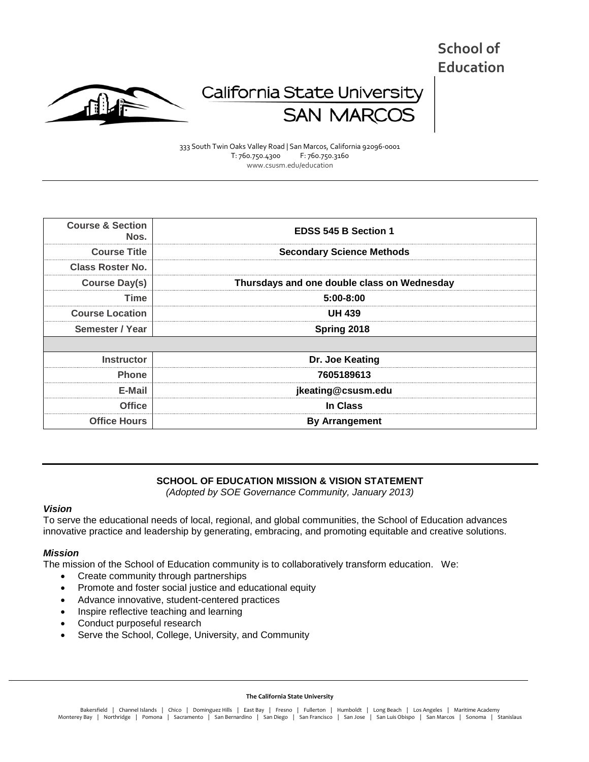

# California State University **SAN MARCO**

333 South Twin Oaks Valley Road | San Marcos, California 92096-0001 T: 760.750.4300 F: 760.750.3160 www.csusm.edu/education

| <b>Course &amp; Section</b><br>Nos. | <b>EDSS 545 B Section 1</b>                 |
|-------------------------------------|---------------------------------------------|
| <b>Course Title</b>                 | <b>Secondary Science Methods</b>            |
| Class Roster No.                    |                                             |
| <b>Course Day(s)</b>                | Thursdays and one double class on Wednesday |
| <b>Time</b>                         | $5:00 - 8:00$                               |
| <b>Course Location</b>              | <b>UH 439</b>                               |
| Semester / Year                     | Spring 2018                                 |
|                                     |                                             |
| <b>Instructor</b>                   | Dr. Joe Keating                             |
| <b>Phone</b>                        | 7605189613                                  |
| E-Mail                              | jkeating@csusm.edu                          |
| <b>Office</b>                       | In Class                                    |
| <b>Office Hours</b>                 | <b>By Arrangement</b>                       |

## **SCHOOL OF EDUCATION MISSION & VISION STATEMENT**

*(Adopted by SOE Governance Community, January 2013)*

#### *Vision*

To serve the educational needs of local, regional, and global communities, the School of Education advances innovative practice and leadership by generating, embracing, and promoting equitable and creative solutions.

#### *Mission*

The mission of the School of Education community is to collaboratively transform education. We:

- Create community through partnerships
- Promote and foster social justice and educational equity
- Advance innovative, student-centered practices
- Inspire reflective teaching and learning
- Conduct purposeful research
- Serve the School, College, University, and Community

#### **The California State University**

**School of Education**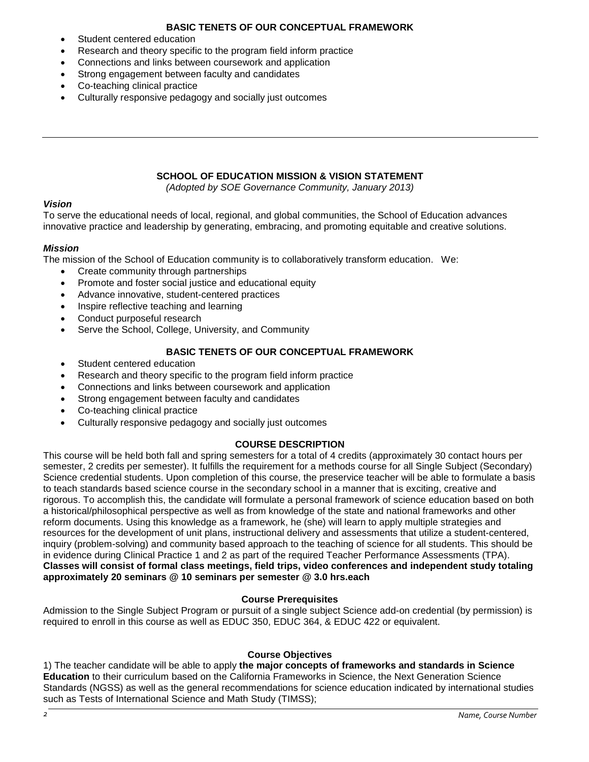## **BASIC TENETS OF OUR CONCEPTUAL FRAMEWORK**

- Student centered education
- Research and theory specific to the program field inform practice
- Connections and links between coursework and application
- Strong engagement between faculty and candidates
- Co-teaching clinical practice
- Culturally responsive pedagogy and socially just outcomes

## **SCHOOL OF EDUCATION MISSION & VISION STATEMENT**

*(Adopted by SOE Governance Community, January 2013)*

### *Vision*

To serve the educational needs of local, regional, and global communities, the School of Education advances innovative practice and leadership by generating, embracing, and promoting equitable and creative solutions.

## *Mission*

The mission of the School of Education community is to collaboratively transform education. We:

- Create community through partnerships
- Promote and foster social justice and educational equity
- Advance innovative, student-centered practices
- Inspire reflective teaching and learning
- Conduct purposeful research
- Serve the School, College, University, and Community

## **BASIC TENETS OF OUR CONCEPTUAL FRAMEWORK**

- Student centered education
	- Research and theory specific to the program field inform practice
- Connections and links between coursework and application
- Strong engagement between faculty and candidates
- Co-teaching clinical practice
- Culturally responsive pedagogy and socially just outcomes

## **COURSE DESCRIPTION**

This course will be held both fall and spring semesters for a total of 4 credits (approximately 30 contact hours per semester, 2 credits per semester). It fulfills the requirement for a methods course for all Single Subject (Secondary) Science credential students. Upon completion of this course, the preservice teacher will be able to formulate a basis to teach standards based science course in the secondary school in a manner that is exciting, creative and rigorous. To accomplish this, the candidate will formulate a personal framework of science education based on both a historical/philosophical perspective as well as from knowledge of the state and national frameworks and other reform documents. Using this knowledge as a framework, he (she) will learn to apply multiple strategies and resources for the development of unit plans, instructional delivery and assessments that utilize a student-centered, inquiry (problem-solving) and community based approach to the teaching of science for all students. This should be in evidence during Clinical Practice 1 and 2 as part of the required Teacher Performance Assessments (TPA). **Classes will consist of formal class meetings, field trips, video conferences and independent study totaling approximately 20 seminars @ 10 seminars per semester @ 3.0 hrs.each**

#### **Course Prerequisites**

Admission to the Single Subject Program or pursuit of a single subject Science add-on credential (by permission) is required to enroll in this course as well as EDUC 350, EDUC 364, & EDUC 422 or equivalent.

## **Course Objectives**

1) The teacher candidate will be able to apply **the major concepts of frameworks and standards in Science Education** to their curriculum based on the California Frameworks in Science, the Next Generation Science Standards (NGSS) as well as the general recommendations for science education indicated by international studies such as Tests of International Science and Math Study (TIMSS);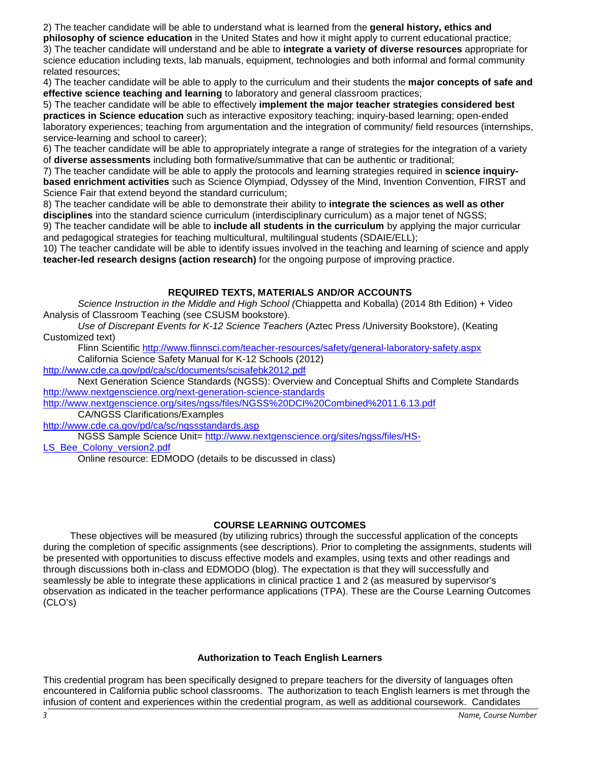2) The teacher candidate will be able to understand what is learned from the **general history, ethics and** 

**philosophy of science education** in the United States and how it might apply to current educational practice; 3) The teacher candidate will understand and be able to **integrate a variety of diverse resources** appropriate for science education including texts, lab manuals, equipment, technologies and both informal and formal community related resources;

4) The teacher candidate will be able to apply to the curriculum and their students the **major concepts of safe and effective science teaching and learning** to laboratory and general classroom practices;

5) The teacher candidate will be able to effectively **implement the major teacher strategies considered best practices in Science education** such as interactive expository teaching; inquiry-based learning; open-ended laboratory experiences; teaching from argumentation and the integration of community/ field resources (internships, service-learning and school to career);

6) The teacher candidate will be able to appropriately integrate a range of strategies for the integration of a variety of **diverse assessments** including both formative/summative that can be authentic or traditional;

7) The teacher candidate will be able to apply the protocols and learning strategies required in **science inquirybased enrichment activities** such as Science Olympiad, Odyssey of the Mind, Invention Convention, FIRST and Science Fair that extend beyond the standard curriculum;

8) The teacher candidate will be able to demonstrate their ability to **integrate the sciences as well as other disciplines** into the standard science curriculum (interdisciplinary curriculum) as a major tenet of NGSS;

9) The teacher candidate will be able to **include all students in the curriculum** by applying the major curricular and pedagogical strategies for teaching multicultural, multilingual students (SDAIE/ELL);

10) The teacher candidate will be able to identify issues involved in the teaching and learning of science and apply **teacher-led research designs (action research)** for the ongoing purpose of improving practice.

## **REQUIRED TEXTS, MATERIALS AND/OR ACCOUNTS**

*Science Instruction in the Middle and High School (*Chiappetta and Koballa) (2014 8th Edition) + Video Analysis of Classroom Teaching (see CSUSM bookstore).

*Use of Discrepant Events for K-12 Science Teachers* (Aztec Press /University Bookstore), (Keating Customized text)

Flinn Scientific<http://www.flinnsci.com/teacher-resources/safety/general-laboratory-safety.aspx>

California Science Safety Manual for K-12 Schools (2012)

<http://www.cde.ca.gov/pd/ca/sc/documents/scisafebk2012.pdf>

Next Generation Science Standards (NGSS): Overview and Conceptual Shifts and Complete Standards <http://www.nextgenscience.org/next-generation-science-standards>

<http://www.nextgenscience.org/sites/ngss/files/NGSS%20DCI%20Combined%2011.6.13.pdf> CA/NGSS Clarifications/Examples

<http://www.cde.ca.gov/pd/ca/sc/ngssstandards.asp>

NGSS Sample Science Unit= [http://www.nextgenscience.org/sites/ngss/files/HS-](http://www.nextgenscience.org/sites/ngss/files/HS-LS_Bee_Colony_version2.pdf)[LS\\_Bee\\_Colony\\_version2.pdf](http://www.nextgenscience.org/sites/ngss/files/HS-LS_Bee_Colony_version2.pdf)

Online resource: EDMODO (details to be discussed in class)

## **COURSE LEARNING OUTCOMES**

These objectives will be measured (by utilizing rubrics) through the successful application of the concepts during the completion of specific assignments (see descriptions). Prior to completing the assignments, students will be presented with opportunities to discuss effective models and examples, using texts and other readings and through discussions both in-class and EDMODO (blog). The expectation is that they will successfully and seamlessly be able to integrate these applications in clinical practice 1 and 2 (as measured by supervisor's observation as indicated in the teacher performance applications (TPA). These are the Course Learning Outcomes (CLO's)

## **Authorization to Teach English Learners**

This credential program has been specifically designed to prepare teachers for the diversity of languages often encountered in California public school classrooms. The authorization to teach English learners is met through the infusion of content and experiences within the credential program, as well as additional coursework. Candidates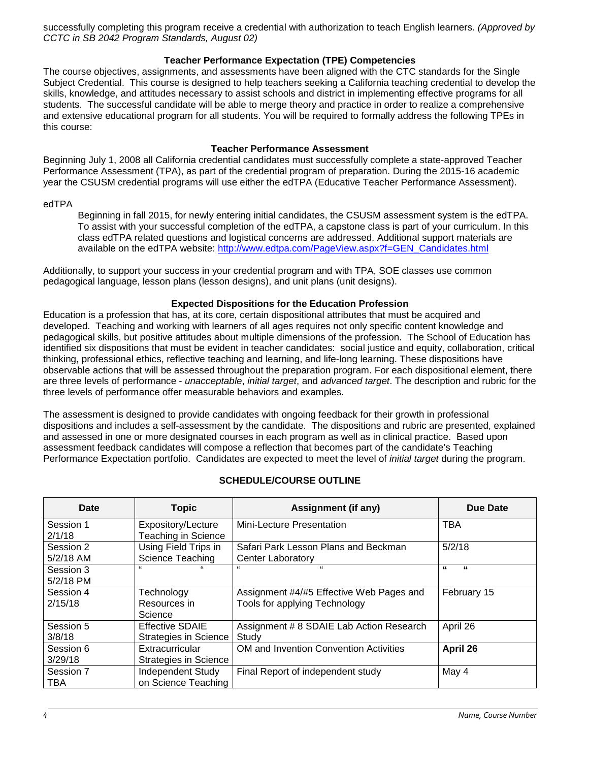successfully completing this program receive a credential with authorization to teach English learners. *(Approved by CCTC in SB 2042 Program Standards, August 02)*

#### **Teacher Performance Expectation (TPE) Competencies**

The course objectives, assignments, and assessments have been aligned with the CTC standards for the Single Subject Credential. This course is designed to help teachers seeking a California teaching credential to develop the skills, knowledge, and attitudes necessary to assist schools and district in implementing effective programs for all students. The successful candidate will be able to merge theory and practice in order to realize a comprehensive and extensive educational program for all students. You will be required to formally address the following TPEs in this course:

### **Teacher Performance Assessment**

Beginning July 1, 2008 all California credential candidates must successfully complete a state-approved Teacher Performance Assessment (TPA), as part of the credential program of preparation. During the 2015-16 academic year the CSUSM credential programs will use either the edTPA (Educative Teacher Performance Assessment).

#### edTPA

Beginning in fall 2015, for newly entering initial candidates, the CSUSM assessment system is the edTPA. To assist with your successful completion of the edTPA, a capstone class is part of your curriculum. In this class edTPA related questions and logistical concerns are addressed. Additional support materials are available on the edTPA website: [http://www.edtpa.com/PageView.aspx?f=GEN\\_Candidates.html](http://www.edtpa.com/PageView.aspx?f=GEN_Candidates.html)

Additionally, to support your success in your credential program and with TPA, SOE classes use common pedagogical language, lesson plans (lesson designs), and unit plans (unit designs).

#### **Expected Dispositions for the Education Profession**

Education is a profession that has, at its core, certain dispositional attributes that must be acquired and developed. Teaching and working with learners of all ages requires not only specific content knowledge and pedagogical skills, but positive attitudes about multiple dimensions of the profession. The School of Education has identified six dispositions that must be evident in teacher candidates: social justice and equity, collaboration, critical thinking, professional ethics, reflective teaching and learning, and life-long learning. These dispositions have observable actions that will be assessed throughout the preparation program. For each dispositional element, there are three levels of performance - *unacceptable*, *initial target*, and *advanced target*. The description and rubric for the three levels of performance offer measurable behaviors and examples.

The assessment is designed to provide candidates with ongoing feedback for their growth in professional dispositions and includes a self-assessment by the candidate. The dispositions and rubric are presented, explained and assessed in one or more designated courses in each program as well as in clinical practice. Based upon assessment feedback candidates will compose a reflection that becomes part of the candidate's Teaching Performance Expectation portfolio. Candidates are expected to meet the level of *initial target* during the program.

## **SCHEDULE/COURSE OUTLINE**

| Date        | <b>Topic</b>                 | <b>Assignment (if any)</b>               | Due Date    |
|-------------|------------------------------|------------------------------------------|-------------|
| Session 1   | Expository/Lecture           | <b>Mini-Lecture Presentation</b>         | <b>TBA</b>  |
| 2/1/18      | Teaching in Science          |                                          |             |
| Session 2   | Using Field Trips in         | Safari Park Lesson Plans and Beckman     | 5/2/18      |
| $5/2/18$ AM | Science Teaching             | Center Laboratory                        |             |
| Session 3   |                              | $\epsilon$                               | "<br>"      |
| 5/2/18 PM   |                              |                                          |             |
| Session 4   | Technology                   | Assignment #4/#5 Effective Web Pages and | February 15 |
| 2/15/18     | Resources in                 | Tools for applying Technology            |             |
|             | Science                      |                                          |             |
| Session 5   | <b>Effective SDAIE</b>       | Assignment #8 SDAIE Lab Action Research  | April 26    |
| 3/8/18      | <b>Strategies in Science</b> | Study                                    |             |
| Session 6   | Extracurricular              | OM and Invention Convention Activities   | April 26    |
| 3/29/18     | <b>Strategies in Science</b> |                                          |             |
| Session 7   | Independent Study            | Final Report of independent study        | May 4       |
| TBA         | on Science Teaching          |                                          |             |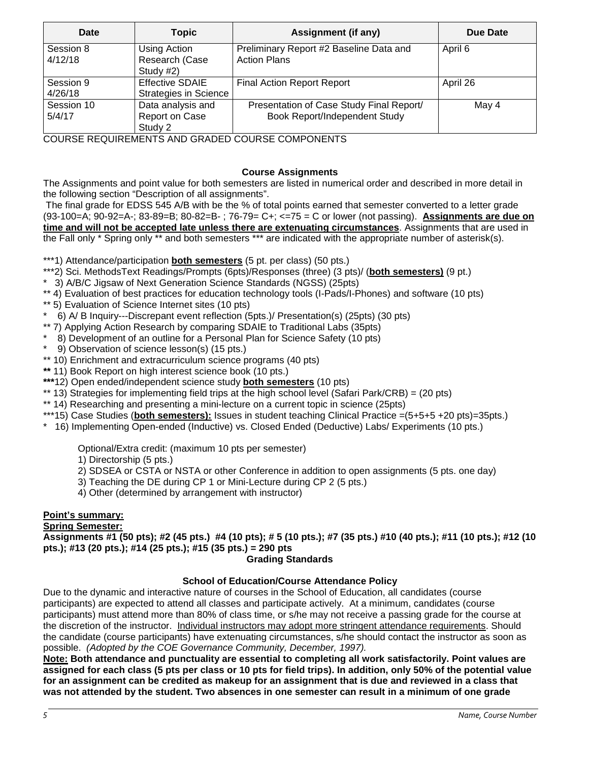| Date       | Topic                        | Assignment (if any)                                  | Due Date |
|------------|------------------------------|------------------------------------------------------|----------|
| Session 8  | Using Action                 | Preliminary Report #2 Baseline Data and              | April 6  |
| 4/12/18    | Research (Case               | <b>Action Plans</b>                                  |          |
|            | Study $#2)$                  |                                                      |          |
| Session 9  | <b>Effective SDAIE</b>       | <b>Final Action Report Report</b>                    | April 26 |
| 4/26/18    | <b>Strategies in Science</b> |                                                      |          |
| Session 10 | Data analysis and            | Presentation of Case Study Final Report/             | May 4    |
| 5/4/17     | Report on Case               | Book Report/Independent Study                        |          |
|            | Study 2                      | $0.011000$ DEOUREMENTS AND ODADED OOUDOF COMPONIEUTO |          |

COURSE REQUIREMENTS AND GRADED COURSE COMPONENTS

## **Course Assignments**

The Assignments and point value for both semesters are listed in numerical order and described in more detail in the following section "Description of all assignments".

The final grade for EDSS 545 A/B with be the % of total points earned that semester converted to a letter grade (93-100=A; 90-92=A-; 83-89=B; 80-82=B- ; 76-79= C+; <=75 = C or lower (not passing). **Assignments are due on time and will not be accepted late unless there are extenuating circumstances**. Assignments that are used in the Fall only \* Spring only \*\* and both semesters \*\*\* are indicated with the appropriate number of asterisk(s).

\*\*\*1) Attendance/participation **both semesters** (5 pt. per class) (50 pts.)

- \*\*\*2) Sci. MethodsText Readings/Prompts (6pts)/Responses (three) (3 pts)/ (**both semesters)** (9 pt.)
- \* 3) A/B/C Jigsaw of Next Generation Science Standards (NGSS) (25pts)
- \*\* 4) Evaluation of best practices for education technology tools (I-Pads/I-Phones) and software (10 pts)
- \*\* 5) Evaluation of Science Internet sites (10 pts)
- \* 6) A/ B Inquiry---Discrepant event reflection (5pts.)/ Presentation(s) (25pts) (30 pts)
- \*\* 7) Applying Action Research by comparing SDAIE to Traditional Labs (35pts)
- \* 8) Development of an outline for a Personal Plan for Science Safety (10 pts)
- \* 9) Observation of science lesson(s) (15 pts.)
- \*\* 10) Enrichment and extracurriculum science programs (40 pts)
- **\*\*** 11) Book Report on high interest science book (10 pts.)
- **\*\*\***12) Open ended/independent science study **both semesters** (10 pts)
- \*\* 13) Strategies for implementing field trips at the high school level (Safari Park/CRB) = (20 pts)
- \*\* 14) Researching and presenting a mini-lecture on a current topic in science (25pts)
- \*\*\*15) Case Studies (**both semesters):** Issues in student teaching Clinical Practice =(5+5+5 +20 pts)=35pts.)
- \* 16) Implementing Open-ended (Inductive) vs. Closed Ended (Deductive) Labs/ Experiments (10 pts.)

Optional/Extra credit: (maximum 10 pts per semester)

- 1) Directorship (5 pts.)
- 2) SDSEA or CSTA or NSTA or other Conference in addition to open assignments (5 pts. one day)
- 3) Teaching the DE during CP 1 or Mini-Lecture during CP 2 (5 pts.)
- 4) Other (determined by arrangement with instructor)

## **Point's summary:**

**Spring Semester: Assignments #1 (50 pts); #2 (45 pts.) #4 (10 pts); # 5 (10 pts.); #7 (35 pts.) #10 (40 pts.); #11 (10 pts.); #12 (10 pts.); #13 (20 pts.); #14 (25 pts.); #15 (35 pts.) = 290 pts**

#### **Grading Standards**

#### **School of Education/Course Attendance Policy**

Due to the dynamic and interactive nature of courses in the School of Education, all candidates (course participants) are expected to attend all classes and participate actively. At a minimum, candidates (course participants) must attend more than 80% of class time, or s/he may not receive a passing grade for the course at the discretion of the instructor. Individual instructors may adopt more stringent attendance requirements. Should the candidate (course participants) have extenuating circumstances, s/he should contact the instructor as soon as possible. *(Adopted by the COE Governance Community, December, 1997).*

**Note: Both attendance and punctuality are essential to completing all work satisfactorily. Point values are assigned for each class (5 pts per class or 10 pts for field trips). In addition, only 50% of the potential value for an assignment can be credited as makeup for an assignment that is due and reviewed in a class that was not attended by the student. Two absences in one semester can result in a minimum of one grade**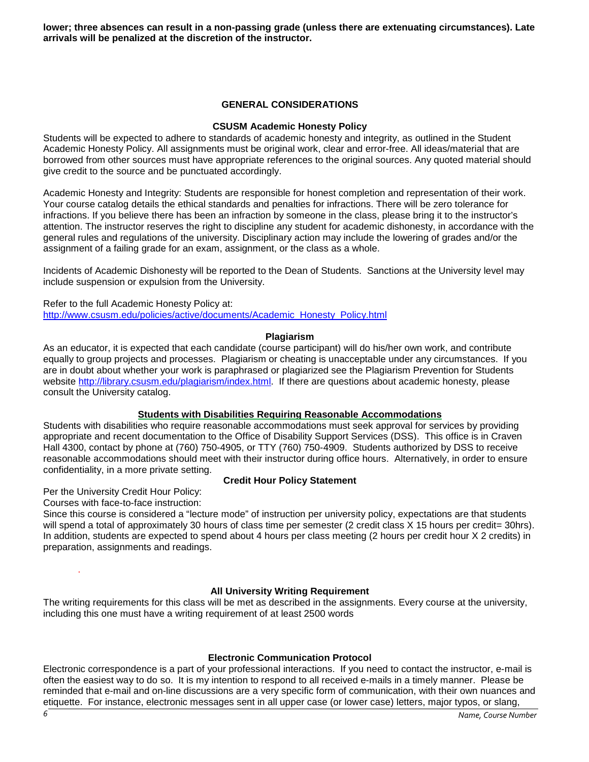**lower; three absences can result in a non-passing grade (unless there are extenuating circumstances). Late arrivals will be penalized at the discretion of the instructor.** 

#### **GENERAL CONSIDERATIONS**

#### **CSUSM Academic Honesty Policy**

Students will be expected to adhere to standards of academic honesty and integrity, as outlined in the Student Academic Honesty Policy. All assignments must be original work, clear and error-free. All ideas/material that are borrowed from other sources must have appropriate references to the original sources. Any quoted material should give credit to the source and be punctuated accordingly.

Academic Honesty and Integrity: Students are responsible for honest completion and representation of their work. Your course catalog details the ethical standards and penalties for infractions. There will be zero tolerance for infractions. If you believe there has been an infraction by someone in the class, please bring it to the instructor's attention. The instructor reserves the right to discipline any student for academic dishonesty, in accordance with the general rules and regulations of the university. Disciplinary action may include the lowering of grades and/or the assignment of a failing grade for an exam, assignment, or the class as a whole.

Incidents of Academic Dishonesty will be reported to the Dean of Students. Sanctions at the University level may include suspension or expulsion from the University.

Refer to the full Academic Honesty Policy at: [http://www.csusm.edu/policies/active/documents/Academic\\_Honesty\\_Policy.html](http://www.csusm.edu/policies/active/documents/Academic_Honesty_Policy.html)

#### **Plagiarism**

As an educator, it is expected that each candidate (course participant) will do his/her own work, and contribute equally to group projects and processes. Plagiarism or cheating is unacceptable under any circumstances. If you are in doubt about whether your work is paraphrased or plagiarized see the Plagiarism Prevention for Students website [http://library.csusm.edu/plagiarism/index.html.](http://library.csusm.edu/plagiarism/index.html) If there are questions about academic honesty, please consult the University catalog.

#### **Students with Disabilities Requiring Reasonable Accommodations**

Students with disabilities who require reasonable accommodations must seek approval for services by providing appropriate and recent documentation to the Office of Disability Support Services (DSS). This office is in Craven Hall 4300, contact by phone at (760) 750-4905, or TTY (760) 750-4909. Students authorized by DSS to receive reasonable accommodations should meet with their instructor during office hours. Alternatively, in order to ensure confidentiality, in a more private setting.

#### **Credit Hour Policy Statement**

Per the University Credit Hour Policy:

Courses with face-to-face instruction:

.

Since this course is considered a "lecture mode" of instruction per university policy, expectations are that students will spend a total of approximately 30 hours of class time per semester (2 credit class X 15 hours per credit= 30hrs). In addition, students are expected to spend about 4 hours per class meeting (2 hours per credit hour X 2 credits) in preparation, assignments and readings.

#### **All University Writing Requirement**

The writing requirements for this class will be met as described in the assignments. Every course at the university, including this one must have a writing requirement of at least 2500 words

#### **Electronic Communication Protocol**

Electronic correspondence is a part of your professional interactions. If you need to contact the instructor, e-mail is often the easiest way to do so. It is my intention to respond to all received e-mails in a timely manner. Please be reminded that e-mail and on-line discussions are a very specific form of communication, with their own nuances and etiquette. For instance, electronic messages sent in all upper case (or lower case) letters, major typos, or slang,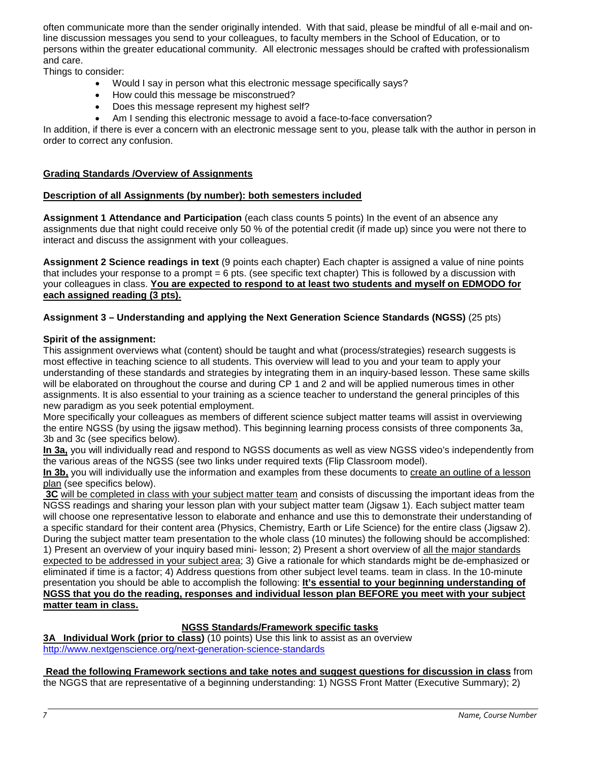often communicate more than the sender originally intended. With that said, please be mindful of all e-mail and online discussion messages you send to your colleagues, to faculty members in the School of Education, or to persons within the greater educational community. All electronic messages should be crafted with professionalism and care.

Things to consider:

- Would I say in person what this electronic message specifically says?
- How could this message be misconstrued?
- Does this message represent my highest self?
- Am I sending this electronic message to avoid a face-to-face conversation?

In addition, if there is ever a concern with an electronic message sent to you, please talk with the author in person in order to correct any confusion.

## **Grading Standards /Overview of Assignments**

## **Description of all Assignments (by number): both semesters included**

**Assignment 1 Attendance and Participation** (each class counts 5 points) In the event of an absence any assignments due that night could receive only 50 % of the potential credit (if made up) since you were not there to interact and discuss the assignment with your colleagues.

**Assignment 2 Science readings in text** (9 points each chapter) Each chapter is assigned a value of nine points that includes your response to a prompt = 6 pts. (see specific text chapter) This is followed by a discussion with your colleagues in class. **You are expected to respond to at least two students and myself on EDMODO for each assigned reading (3 pts).**

### **Assignment 3 – Understanding and applying the Next Generation Science Standards (NGSS)** (25 pts)

### **Spirit of the assignment:**

This assignment overviews what (content) should be taught and what (process/strategies) research suggests is most effective in teaching science to all students. This overview will lead to you and your team to apply your understanding of these standards and strategies by integrating them in an inquiry-based lesson. These same skills will be elaborated on throughout the course and during CP 1 and 2 and will be applied numerous times in other assignments. It is also essential to your training as a science teacher to understand the general principles of this new paradigm as you seek potential employment.

More specifically your colleagues as members of different science subject matter teams will assist in overviewing the entire NGSS (by using the jigsaw method). This beginning learning process consists of three components 3a, 3b and 3c (see specifics below).

**In 3a,** you will individually read and respond to NGSS documents as well as view NGSS video's independently from the various areas of the NGSS (see two links under required texts (Flip Classroom model).

**In 3b,** you will individually use the information and examples from these documents to create an outline of a lesson plan (see specifics below).

**3C** will be completed in class with your subject matter team and consists of discussing the important ideas from the NGSS readings and sharing your lesson plan with your subject matter team (Jigsaw 1). Each subject matter team will choose one representative lesson to elaborate and enhance and use this to demonstrate their understanding of a specific standard for their content area (Physics, Chemistry, Earth or Life Science) for the entire class (Jigsaw 2). During the subject matter team presentation to the whole class (10 minutes) the following should be accomplished: 1) Present an overview of your inquiry based mini- lesson; 2) Present a short overview of all the major standards expected to be addressed in your subject area; 3) Give a rationale for which standards might be de-emphasized or eliminated if time is a factor; 4) Address questions from other subject level teams. team in class. In the 10-minute presentation you should be able to accomplish the following: **It's essential to your beginning understanding of NGSS that you do the reading, responses and individual lesson plan BEFORE you meet with your subject matter team in class.**

## **NGSS Standards/Framework specific tasks**

**3A Individual Work (prior to class)** (10 points) Use this link to assist as an overview <http://www.nextgenscience.org/next-generation-science-standards>

## **Read the following Framework sections and take notes and suggest questions for discussion in class** from

the NGGS that are representative of a beginning understanding: 1) NGSS Front Matter (Executive Summary); 2)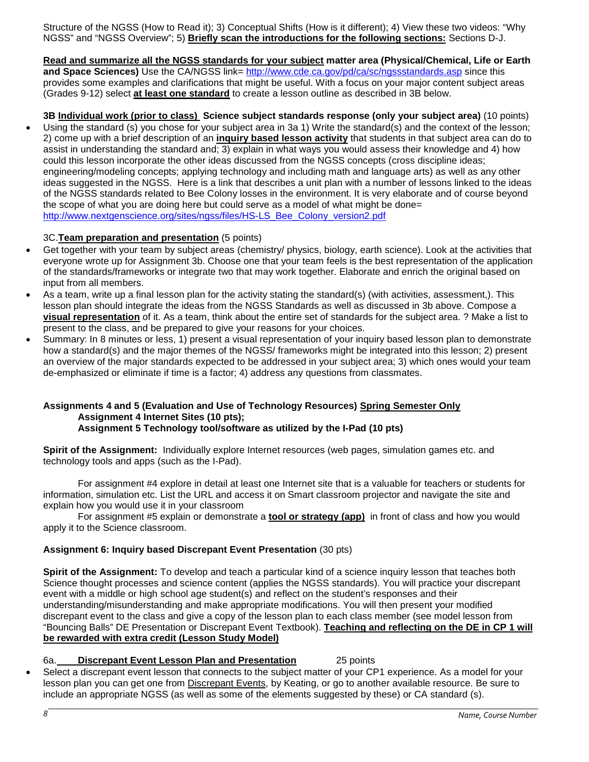Structure of the NGSS (How to Read it); 3) Conceptual Shifts (How is it different); 4) View these two videos: "Why NGSS" and "NGSS Overview"; 5) **Briefly scan the introductions for the following sections:** Sections D-J.

**Read and summarize all the NGSS standards for your subject matter area (Physical/Chemical, Life or Earth and Space Sciences)** Use the CA/NGSS link=<http://www.cde.ca.gov/pd/ca/sc/ngssstandards.asp> since this provides some examples and clarifications that might be useful. With a focus on your major content subject areas (Grades 9-12) select **at least one standard** to create a lesson outline as described in 3B below.

**3B Individual work (prior to class) Science subject standards response (only your subject area)** (10 points) • Using the standard (s) you chose for your subject area in 3a 1) Write the standard(s) and the context of the lesson; 2) come up with a brief description of an **inquiry based lesson activity** that students in that subject area can do to assist in understanding the standard and; 3) explain in what ways you would assess their knowledge and 4) how could this lesson incorporate the other ideas discussed from the NGSS concepts (cross discipline ideas; engineering/modeling concepts; applying technology and including math and language arts) as well as any other ideas suggested in the NGSS. Here is a link that describes a unit plan with a number of lessons linked to the ideas of the NGSS standards related to Bee Colony losses in the environment. It is very elaborate and of course beyond the scope of what you are doing here but could serve as a model of what might be done= [http://www.nextgenscience.org/sites/ngss/files/HS-LS\\_Bee\\_Colony\\_version2.pdf](http://www.nextgenscience.org/sites/ngss/files/HS-LS_Bee_Colony_version2.pdf)

## 3C.**Team preparation and presentation** (5 points)

- Get together with your team by subject areas (chemistry/ physics, biology, earth science). Look at the activities that everyone wrote up for Assignment 3b. Choose one that your team feels is the best representation of the application of the standards/frameworks or integrate two that may work together. Elaborate and enrich the original based on input from all members.
- As a team, write up a final lesson plan for the activity stating the standard(s) (with activities, assessment,). This lesson plan should integrate the ideas from the NGSS Standards as well as discussed in 3b above. Compose a **visual representation** of it. As a team, think about the entire set of standards for the subject area. ? Make a list to present to the class, and be prepared to give your reasons for your choices.
- Summary: In 8 minutes or less, 1) present a visual representation of your inquiry based lesson plan to demonstrate how a standard(s) and the major themes of the NGSS/ frameworks might be integrated into this lesson; 2) present an overview of the major standards expected to be addressed in your subject area; 3) which ones would your team de-emphasized or eliminate if time is a factor; 4) address any questions from classmates.

#### **Assignments 4 and 5 (Evaluation and Use of Technology Resources) Spring Semester Only Assignment 4 Internet Sites (10 pts); Assignment 5 Technology tool/software as utilized by the I-Pad (10 pts)**

**Spirit of the Assignment:** Individually explore Internet resources (web pages, simulation games etc. and technology tools and apps (such as the I-Pad).

For assignment #4 explore in detail at least one Internet site that is a valuable for teachers or students for information, simulation etc. List the URL and access it on Smart classroom projector and navigate the site and explain how you would use it in your classroom

For assignment #5 explain or demonstrate a **tool or strategy (app)** in front of class and how you would apply it to the Science classroom.

## **Assignment 6: Inquiry based Discrepant Event Presentation** (30 pts)

**Spirit of the Assignment:** To develop and teach a particular kind of a science inquiry lesson that teaches both Science thought processes and science content (applies the NGSS standards). You will practice your discrepant event with a middle or high school age student(s) and reflect on the student's responses and their understanding/misunderstanding and make appropriate modifications. You will then present your modified discrepant event to the class and give a copy of the lesson plan to each class member (see model lesson from "Bouncing Balls" DE Presentation or Discrepant Event Textbook). **Teaching and reflecting on the DE in CP 1 will be rewarded with extra credit (Lesson Study Model)**

## 6a. **Discrepant Event Lesson Plan and Presentation** 25 points

Select a discrepant event lesson that connects to the subject matter of your CP1 experience. As a model for your lesson plan you can get one from Discrepant Events, by Keating, or go to another available resource. Be sure to include an appropriate NGSS (as well as some of the elements suggested by these) or CA standard (s).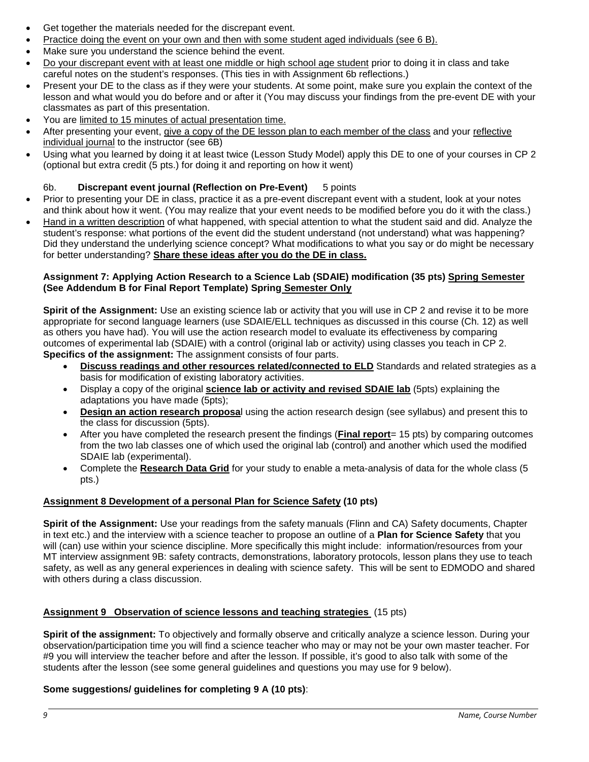- Get together the materials needed for the discrepant event.
- Practice doing the event on your own and then with some student aged individuals (see 6 B).
- Make sure you understand the science behind the event.
- Do your discrepant event with at least one middle or high school age student prior to doing it in class and take careful notes on the student's responses. (This ties in with Assignment 6b reflections.)
- Present your DE to the class as if they were your students. At some point, make sure you explain the context of the lesson and what would you do before and or after it (You may discuss your findings from the pre-event DE with your classmates as part of this presentation.
- You are limited to 15 minutes of actual presentation time.
- After presenting your event, give a copy of the DE lesson plan to each member of the class and your reflective individual journal to the instructor (see 6B)
- Using what you learned by doing it at least twice (Lesson Study Model) apply this DE to one of your courses in CP 2 (optional but extra credit (5 pts.) for doing it and reporting on how it went)

## 6b. **Discrepant event journal (Reflection on Pre-Event)** 5 points

- Prior to presenting your DE in class, practice it as a pre-event discrepant event with a student, look at your notes and think about how it went. (You may realize that your event needs to be modified before you do it with the class.)
- Hand in a written description of what happened, with special attention to what the student said and did. Analyze the student's response: what portions of the event did the student understand (not understand) what was happening? Did they understand the underlying science concept? What modifications to what you say or do might be necessary for better understanding? **Share these ideas after you do the DE in class.**

### **Assignment 7: Applying Action Research to a Science Lab (SDAIE) modification (35 pts) Spring Semester (See Addendum B for Final Report Template) Spring Semester Only**

**Spirit of the Assignment:** Use an existing science lab or activity that you will use in CP 2 and revise it to be more appropriate for second language learners (use SDAIE/ELL techniques as discussed in this course (Ch. 12) as well as others you have had). You will use the action research model to evaluate its effectiveness by comparing outcomes of experimental lab (SDAIE) with a control (original lab or activity) using classes you teach in CP 2. **Specifics of the assignment:** The assignment consists of four parts.

- **Discuss readings and other resources related/connected to ELD** Standards and related strategies as a basis for modification of existing laboratory activities.
- Display a copy of the original **science lab or activity and revised SDAIE lab** (5pts) explaining the adaptations you have made (5pts);
- **Design an action research proposa**l using the action research design (see syllabus) and present this to the class for discussion (5pts).
- After you have completed the research present the findings (**Final report**= 15 pts) by comparing outcomes from the two lab classes one of which used the original lab (control) and another which used the modified SDAIE lab (experimental).
- Complete the **Research Data Grid** for your study to enable a meta-analysis of data for the whole class (5 pts.)

#### **Assignment 8 Development of a personal Plan for Science Safety (10 pts)**

**Spirit of the Assignment:** Use your readings from the safety manuals (Flinn and CA) Safety documents, Chapter in text etc.) and the interview with a science teacher to propose an outline of a **Plan for Science Safety** that you will (can) use within your science discipline. More specifically this might include: information/resources from your MT interview assignment 9B: safety contracts, demonstrations, laboratory protocols, lesson plans they use to teach safety, as well as any general experiences in dealing with science safety. This will be sent to EDMODO and shared with others during a class discussion.

#### **Assignment 9 Observation of science lessons and teaching strategies** (15 pts)

**Spirit of the assignment:** To objectively and formally observe and critically analyze a science lesson. During your observation/participation time you will find a science teacher who may or may not be your own master teacher. For #9 you will interview the teacher before and after the lesson. If possible, it's good to also talk with some of the students after the lesson (see some general guidelines and questions you may use for 9 below).

#### **Some suggestions/ guidelines for completing 9 A (10 pts)**: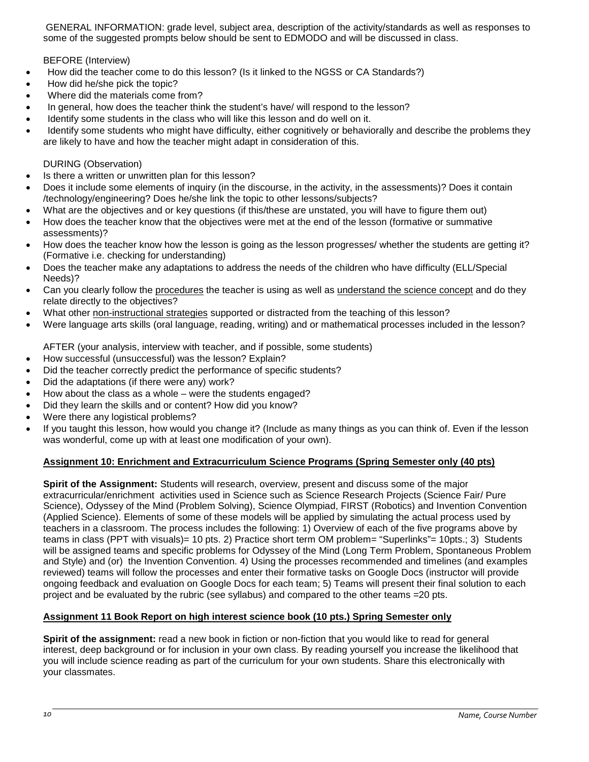GENERAL INFORMATION: grade level, subject area, description of the activity/standards as well as responses to some of the suggested prompts below should be sent to EDMODO and will be discussed in class.

BEFORE (Interview)

- How did the teacher come to do this lesson? (Is it linked to the NGSS or CA Standards?)
- How did he/she pick the topic?
- Where did the materials come from?
- In general, how does the teacher think the student's have/ will respond to the lesson?
- Identify some students in the class who will like this lesson and do well on it.
- Identify some students who might have difficulty, either cognitively or behaviorally and describe the problems they are likely to have and how the teacher might adapt in consideration of this.

#### DURING (Observation)

- Is there a written or unwritten plan for this lesson?
- Does it include some elements of inquiry (in the discourse, in the activity, in the assessments)? Does it contain /technology/engineering? Does he/she link the topic to other lessons/subjects?
- What are the objectives and or key questions (if this/these are unstated, you will have to figure them out)
- How does the teacher know that the objectives were met at the end of the lesson (formative or summative assessments)?
- How does the teacher know how the lesson is going as the lesson progresses/ whether the students are getting it? (Formative i.e. checking for understanding)
- Does the teacher make any adaptations to address the needs of the children who have difficulty (ELL/Special Needs)?
- Can you clearly follow the procedures the teacher is using as well as understand the science concept and do they relate directly to the objectives?
- What other non-instructional strategies supported or distracted from the teaching of this lesson?
- Were language arts skills (oral language, reading, writing) and or mathematical processes included in the lesson?

AFTER (your analysis, interview with teacher, and if possible, some students)

- How successful (unsuccessful) was the lesson? Explain?
- Did the teacher correctly predict the performance of specific students?
- Did the adaptations (if there were any) work?
- How about the class as a whole were the students engaged?
- Did they learn the skills and or content? How did you know?
- Were there any logistical problems?
- If you taught this lesson, how would you change it? (Include as many things as you can think of. Even if the lesson was wonderful, come up with at least one modification of your own).

#### **Assignment 10: Enrichment and Extracurriculum Science Programs (Spring Semester only (40 pts)**

**Spirit of the Assignment:** Students will research, overview, present and discuss some of the major extracurricular/enrichment activities used in Science such as Science Research Projects (Science Fair/ Pure Science), Odyssey of the Mind (Problem Solving), Science Olympiad, FIRST (Robotics) and Invention Convention (Applied Science). Elements of some of these models will be applied by simulating the actual process used by teachers in a classroom. The process includes the following: 1) Overview of each of the five programs above by teams in class (PPT with visuals)= 10 pts. 2) Practice short term OM problem= "Superlinks"= 10pts.; 3) Students will be assigned teams and specific problems for Odyssey of the Mind (Long Term Problem, Spontaneous Problem and Style) and (or) the Invention Convention. 4) Using the processes recommended and timelines (and examples reviewed) teams will follow the processes and enter their formative tasks on Google Docs (instructor will provide ongoing feedback and evaluation on Google Docs for each team; 5) Teams will present their final solution to each project and be evaluated by the rubric (see syllabus) and compared to the other teams =20 pts.

## **Assignment 11 Book Report on high interest science book (10 pts.) Spring Semester only**

**Spirit of the assignment:** read a new book in fiction or non-fiction that you would like to read for general interest, deep background or for inclusion in your own class. By reading yourself you increase the likelihood that you will include science reading as part of the curriculum for your own students. Share this electronically with your classmates.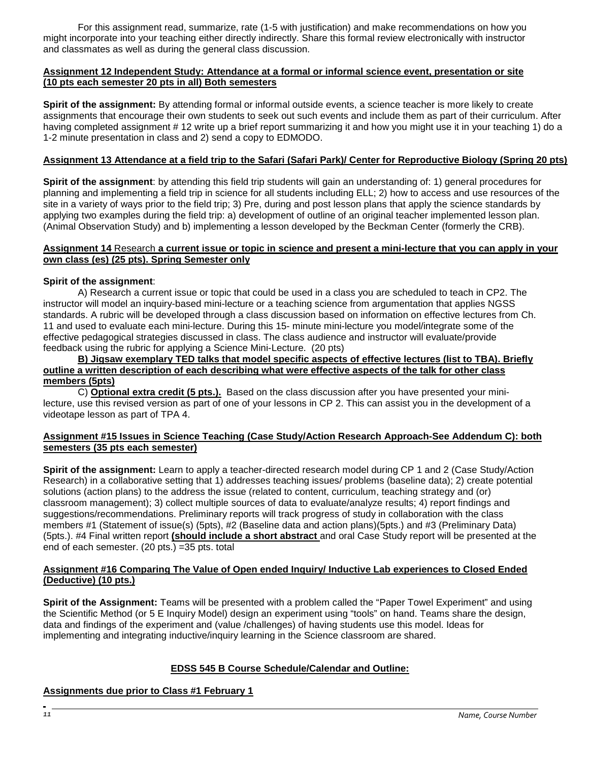For this assignment read, summarize, rate (1-5 with justification) and make recommendations on how you might incorporate into your teaching either directly indirectly. Share this formal review electronically with instructor and classmates as well as during the general class discussion.

#### **Assignment 12 Independent Study: Attendance at a formal or informal science event, presentation or site (10 pts each semester 20 pts in all) Both semesters**

**Spirit of the assignment:** By attending formal or informal outside events, a science teacher is more likely to create assignments that encourage their own students to seek out such events and include them as part of their curriculum. After having completed assignment # 12 write up a brief report summarizing it and how you might use it in your teaching 1) do a 1-2 minute presentation in class and 2) send a copy to EDMODO.

#### **Assignment 13 Attendance at a field trip to the Safari (Safari Park)/ Center for Reproductive Biology (Spring 20 pts)**

**Spirit of the assignment**: by attending this field trip students will gain an understanding of: 1) general procedures for planning and implementing a field trip in science for all students including ELL; 2) how to access and use resources of the site in a variety of ways prior to the field trip; 3) Pre, during and post lesson plans that apply the science standards by applying two examples during the field trip: a) development of outline of an original teacher implemented lesson plan. (Animal Observation Study) and b) implementing a lesson developed by the Beckman Center (formerly the CRB).

#### **Assignment 14** Research **a current issue or topic in science and present a mini-lecture that you can apply in your own class (es) (25 pts). Spring Semester only**

### **Spirit of the assignment**:

A) Research a current issue or topic that could be used in a class you are scheduled to teach in CP2. The instructor will model an inquiry-based mini-lecture or a teaching science from argumentation that applies NGSS standards. A rubric will be developed through a class discussion based on information on effective lectures from Ch. 11 and used to evaluate each mini-lecture. During this 15- minute mini-lecture you model/integrate some of the effective pedagogical strategies discussed in class. The class audience and instructor will evaluate/provide feedback using the rubric for applying a Science Mini-Lecture. (20 pts)

#### **B) Jigsaw exemplary TED talks that model specific aspects of effective lectures (list to TBA). Briefly outline a written description of each describing what were effective aspects of the talk for other class members (5pts)**

 C) **Optional extra credit (5 pts.).** Based on the class discussion after you have presented your minilecture, use this revised version as part of one of your lessons in CP 2. This can assist you in the development of a videotape lesson as part of TPA 4.

## **Assignment #15 Issues in Science Teaching (Case Study/Action Research Approach-See Addendum C): both semesters (35 pts each semester)**

**Spirit of the assignment:** Learn to apply a teacher-directed research model during CP 1 and 2 (Case Study/Action Research) in a collaborative setting that 1) addresses teaching issues/ problems (baseline data); 2) create potential solutions (action plans) to the address the issue (related to content, curriculum, teaching strategy and (or) classroom management); 3) collect multiple sources of data to evaluate/analyze results; 4) report findings and suggestions/recommendations. Preliminary reports will track progress of study in collaboration with the class members #1 (Statement of issue(s) (5pts), #2 (Baseline data and action plans)(5pts.) and #3 (Preliminary Data) (5pts.). #4 Final written report **(should include a short abstract** and oral Case Study report will be presented at the end of each semester. (20 pts.) =35 pts. total

### **Assignment #16 Comparing The Value of Open ended Inquiry/ Inductive Lab experiences to Closed Ended (Deductive) (10 pts.)**

**Spirit of the Assignment:** Teams will be presented with a problem called the "Paper Towel Experiment" and using the Scientific Method (or 5 E Inquiry Model) design an experiment using "tools" on hand. Teams share the design, data and findings of the experiment and (value /challenges) of having students use this model. Ideas for implementing and integrating inductive/inquiry learning in the Science classroom are shared.

#### **EDSS 545 B Course Schedule/Calendar and Outline:**

## **Assignments due prior to Class #1 February 1**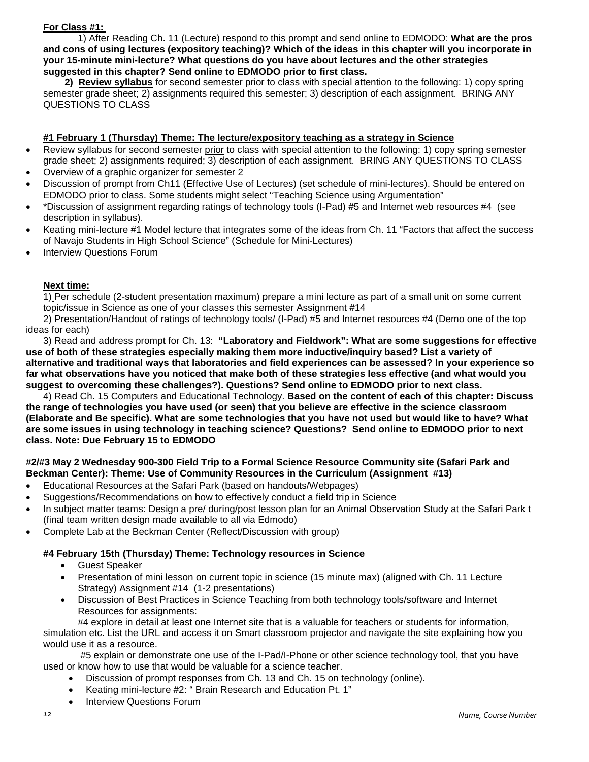## **For Class #1:**

1) After Reading Ch. 11 (Lecture) respond to this prompt and send online to EDMODO: **What are the pros and cons of using lectures (expository teaching)? Which of the ideas in this chapter will you incorporate in your 15-minute mini-lecture? What questions do you have about lectures and the other strategies suggested in this chapter? Send online to EDMODO prior to first class.**

 **2) Review syllabus** for second semester prior to class with special attention to the following: 1) copy spring semester grade sheet; 2) assignments required this semester; 3) description of each assignment. BRING ANY QUESTIONS TO CLASS

### **#1 February 1 (Thursday) Theme: The lecture/expository teaching as a strategy in Science**

- Review syllabus for second semester prior to class with special attention to the following: 1) copy spring semester grade sheet; 2) assignments required; 3) description of each assignment. BRING ANY QUESTIONS TO CLASS
- Overview of a graphic organizer for semester 2
- Discussion of prompt from Ch11 (Effective Use of Lectures) (set schedule of mini-lectures). Should be entered on EDMODO prior to class. Some students might select "Teaching Science using Argumentation"
- \*Discussion of assignment regarding ratings of technology tools (I-Pad) #5 and Internet web resources #4 (see description in syllabus).
- Keating mini-lecture #1 Model lecture that integrates some of the ideas from Ch. 11 "Factors that affect the success of Navajo Students in High School Science" (Schedule for Mini-Lectures)
- Interview Questions Forum

### **Next time:**

1) Per schedule (2-student presentation maximum) prepare a mini lecture as part of a small unit on some current topic/issue in Science as one of your classes this semester Assignment #14

2) Presentation/Handout of ratings of technology tools/ (I-Pad) #5 and Internet resources #4 (Demo one of the top ideas for each)

3) Read and address prompt for Ch. 13: **"Laboratory and Fieldwork": What are some suggestions for effective use of both of these strategies especially making them more inductive/inquiry based? List a variety of alternative and traditional ways that laboratories and field experiences can be assessed? In your experience so far what observations have you noticed that make both of these strategies less effective (and what would you suggest to overcoming these challenges?). Questions? Send online to EDMODO prior to next class.**

4) Read Ch. 15 Computers and Educational Technology. **Based on the content of each of this chapter: Discuss the range of technologies you have used (or seen) that you believe are effective in the science classroom (Elaborate and Be specific). What are some technologies that you have not used but would like to have? What are some issues in using technology in teaching science? Questions? Send online to EDMODO prior to next class. Note: Due February 15 to EDMODO**

#### **#2/#3 May 2 Wednesday 900-300 Field Trip to a Formal Science Resource Community site (Safari Park and Beckman Center): Theme: Use of Community Resources in the Curriculum (Assignment #13)**

- Educational Resources at the Safari Park (based on handouts/Webpages)
- Suggestions/Recommendations on how to effectively conduct a field trip in Science
- In subject matter teams: Design a pre/ during/post lesson plan for an Animal Observation Study at the Safari Park t (final team written design made available to all via Edmodo)
- Complete Lab at the Beckman Center (Reflect/Discussion with group)

## **#4 February 15th (Thursday) Theme: Technology resources in Science**

- Guest Speaker
- Presentation of mini lesson on current topic in science (15 minute max) (aligned with Ch. 11 Lecture Strategy) Assignment #14 (1-2 presentations)
- Discussion of Best Practices in Science Teaching from both technology tools/software and Internet Resources for assignments:

#4 explore in detail at least one Internet site that is a valuable for teachers or students for information, simulation etc. List the URL and access it on Smart classroom projector and navigate the site explaining how you would use it as a resource.

#5 explain or demonstrate one use of the I-Pad/I-Phone or other science technology tool, that you have used or know how to use that would be valuable for a science teacher.

- Discussion of prompt responses from Ch. 13 and Ch. 15 on technology (online).
- Keating mini-lecture #2: " Brain Research and Education Pt. 1"
- Interview Questions Forum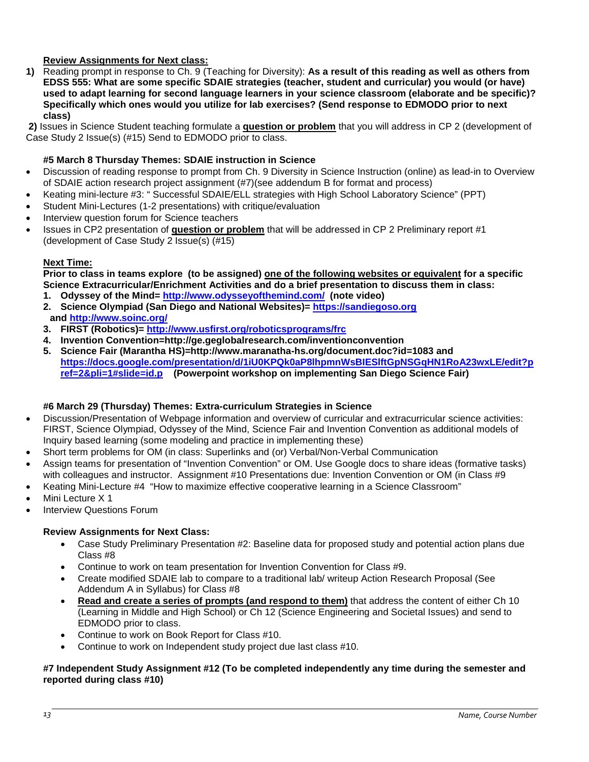## **Review Assignments for Next class:**

**1)** Reading prompt in response to Ch. 9 (Teaching for Diversity): **As a result of this reading as well as others from EDSS 555: What are some specific SDAIE strategies (teacher, student and curricular) you would (or have) used to adapt learning for second language learners in your science classroom (elaborate and be specific)? Specifically which ones would you utilize for lab exercises? (Send response to EDMODO prior to next class)**

**2)** Issues in Science Student teaching formulate a **question or problem** that you will address in CP 2 (development of Case Study 2 Issue(s) (#15) Send to EDMODO prior to class.

## **#5 March 8 Thursday Themes: SDAIE instruction in Science**

- Discussion of reading response to prompt from Ch. 9 Diversity in Science Instruction (online) as lead-in to Overview of SDAIE action research project assignment (#7)(see addendum B for format and process)
- Keating mini-lecture #3: " Successful SDAIE/ELL strategies with High School Laboratory Science" (PPT)
- Student Mini-Lectures (1-2 presentations) with critique/evaluation
- Interview question forum for Science teachers
- Issues in CP2 presentation of **question or problem** that will be addressed in CP 2 Preliminary report #1 (development of Case Study 2 Issue(s) (#15)

#### **Next Time:**

**Prior to class in teams explore (to be assigned) one of the following websites or equivalent for a specific Science Extracurricular/Enrichment Activities and do a brief presentation to discuss them in class:** 

- **1. Odyssey of the Mind=<http://www.odysseyofthemind.com/>(note video)**
- **2. Science Olympiad (San Diego and National Websites)= [https://sandiegoso.org](https://sandiegoso.org/) and<http://www.soinc.org/>**
- **3. FIRST (Robotics)=<http://www.usfirst.org/roboticsprograms/frc>**
- **4. Invention Convention=http://ge.geglobalresearch.com/inventionconvention**
- **5. Science Fair (Marantha HS)=http://www.maranatha-hs.org/document.doc?id=1083 and [https://docs.google.com/presentation/d/1iU0KPQk0aP8lhpmnWsBIESlftGpNSGqHN1RoA23wxLE/edit?p](https://docs.google.com/presentation/d/1iU0KPQk0aP8lhpmnWsBIESlftGpNSGqHN1RoA23wxLE/edit?pref=2&pli=1#slide=id.p) [ref=2&pli=1#slide=id.p](https://docs.google.com/presentation/d/1iU0KPQk0aP8lhpmnWsBIESlftGpNSGqHN1RoA23wxLE/edit?pref=2&pli=1#slide=id.p) (Powerpoint workshop on implementing San Diego Science Fair)**

## **#6 March 29 (Thursday) Themes: Extra-curriculum Strategies in Science**

- Discussion/Presentation of Webpage information and overview of curricular and extracurricular science activities: FIRST, Science Olympiad, Odyssey of the Mind, Science Fair and Invention Convention as additional models of Inquiry based learning (some modeling and practice in implementing these)
- Short term problems for OM (in class: Superlinks and (or) Verbal/Non-Verbal Communication
- Assign teams for presentation of "Invention Convention" or OM. Use Google docs to share ideas (formative tasks) with colleagues and instructor. Assignment #10 Presentations due: Invention Convention or OM (in Class #9
- Keating Mini-Lecture #4 "How to maximize effective cooperative learning in a Science Classroom"
- Mini Lecture X 1
- **Interview Questions Forum**

## **Review Assignments for Next Class:**

- Case Study Preliminary Presentation #2: Baseline data for proposed study and potential action plans due Class #8
- Continue to work on team presentation for Invention Convention for Class #9.
- Create modified SDAIE lab to compare to a traditional lab/ writeup Action Research Proposal (See Addendum A in Syllabus) for Class #8
- **Read and create a series of prompts (and respond to them)** that address the content of either Ch 10 (Learning in Middle and High School) or Ch 12 (Science Engineering and Societal Issues) and send to EDMODO prior to class.
- Continue to work on Book Report for Class #10.
- Continue to work on Independent study project due last class #10.

### **#7 Independent Study Assignment #12 (To be completed independently any time during the semester and reported during class #10)**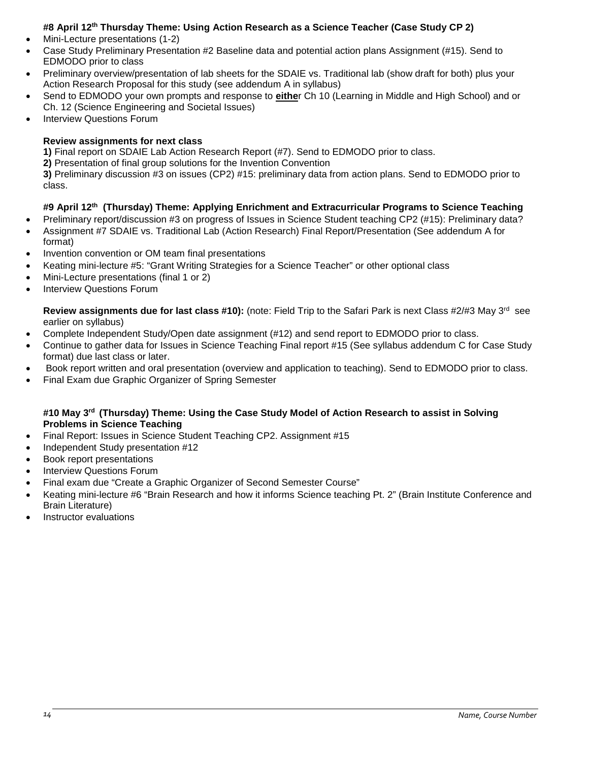## **#8 April 12th Thursday Theme: Using Action Research as a Science Teacher (Case Study CP 2)**

- Mini-Lecture presentations (1-2)
- Case Study Preliminary Presentation #2 Baseline data and potential action plans Assignment (#15). Send to EDMODO prior to class
- Preliminary overview/presentation of lab sheets for the SDAIE vs. Traditional lab (show draft for both) plus your Action Research Proposal for this study (see addendum A in syllabus)
- Send to EDMODO your own prompts and response to **eithe**r Ch 10 (Learning in Middle and High School) and or Ch. 12 (Science Engineering and Societal Issues)
- **Interview Questions Forum**

## **Review assignments for next class**

**1)** Final report on SDAIE Lab Action Research Report (#7). Send to EDMODO prior to class.

**2)** Presentation of final group solutions for the Invention Convention

**3)** Preliminary discussion #3 on issues (CP2) #15: preliminary data from action plans. Send to EDMODO prior to class.

## **#9 April 12th (Thursday) Theme: Applying Enrichment and Extracurricular Programs to Science Teaching**

- Preliminary report/discussion #3 on progress of Issues in Science Student teaching CP2 (#15): Preliminary data?
- Assignment #7 SDAIE vs. Traditional Lab (Action Research) Final Report/Presentation (See addendum A for format)
- Invention convention or OM team final presentations
- Keating mini-lecture #5: "Grant Writing Strategies for a Science Teacher" or other optional class
- Mini-Lecture presentations (final 1 or 2)
- Interview Questions Forum

**Review assignments due for last class #10):** (note: Field Trip to the Safari Park is next Class #2/#3 May 3rd see earlier on syllabus)

- Complete Independent Study/Open date assignment (#12) and send report to EDMODO prior to class.
- Continue to gather data for Issues in Science Teaching Final report #15 (See syllabus addendum C for Case Study format) due last class or later.
- Book report written and oral presentation (overview and application to teaching). Send to EDMODO prior to class.
- Final Exam due Graphic Organizer of Spring Semester

## **#10 May 3rd (Thursday) Theme: Using the Case Study Model of Action Research to assist in Solving Problems in Science Teaching**

- Final Report: Issues in Science Student Teaching CP2. Assignment #15
- Independent Study presentation #12
- Book report presentations
- **Interview Questions Forum**
- Final exam due "Create a Graphic Organizer of Second Semester Course"
- Keating mini-lecture #6 "Brain Research and how it informs Science teaching Pt. 2" (Brain Institute Conference and Brain Literature)
- Instructor evaluations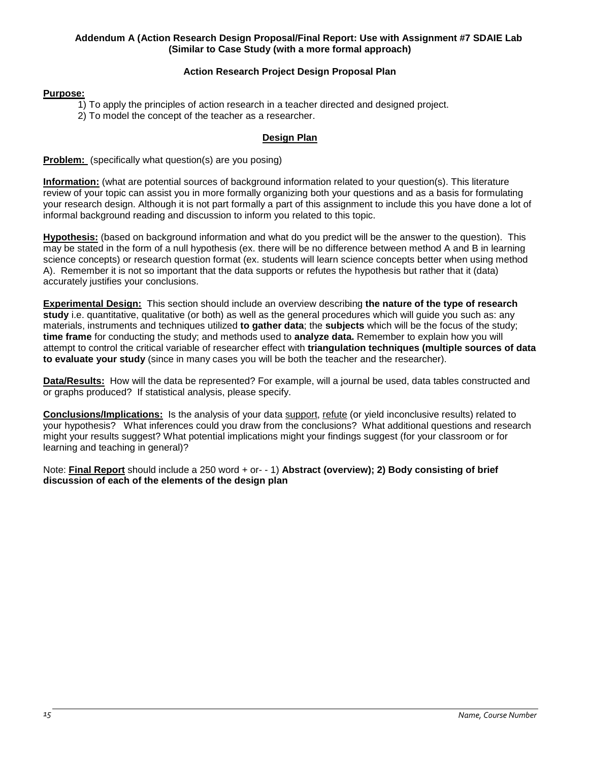## **Addendum A (Action Research Design Proposal/Final Report: Use with Assignment #7 SDAIE Lab (Similar to Case Study (with a more formal approach)**

## **Action Research Project Design Proposal Plan**

#### **Purpose:**

- 1) To apply the principles of action research in a teacher directed and designed project.
- 2) To model the concept of the teacher as a researcher.

## **Design Plan**

**Problem:** (specifically what question(s) are you posing)

**Information:** (what are potential sources of background information related to your question(s). This literature review of your topic can assist you in more formally organizing both your questions and as a basis for formulating your research design. Although it is not part formally a part of this assignment to include this you have done a lot of informal background reading and discussion to inform you related to this topic.

**Hypothesis:** (based on background information and what do you predict will be the answer to the question). This may be stated in the form of a null hypothesis (ex. there will be no difference between method A and B in learning science concepts) or research question format (ex. students will learn science concepts better when using method A). Remember it is not so important that the data supports or refutes the hypothesis but rather that it (data) accurately justifies your conclusions.

**Experimental Design:** This section should include an overview describing **the nature of the type of research study** i.e. quantitative, qualitative (or both) as well as the general procedures which will guide you such as: any materials, instruments and techniques utilized **to gather data**; the **subjects** which will be the focus of the study; **time frame** for conducting the study; and methods used to **analyze data.** Remember to explain how you will attempt to control the critical variable of researcher effect with **triangulation techniques (multiple sources of data to evaluate your study** (since in many cases you will be both the teacher and the researcher).

**Data/Results:** How will the data be represented? For example, will a journal be used, data tables constructed and or graphs produced? If statistical analysis, please specify.

**Conclusions/Implications:** Is the analysis of your data support, refute (or yield inconclusive results) related to your hypothesis? What inferences could you draw from the conclusions? What additional questions and research might your results suggest? What potential implications might your findings suggest (for your classroom or for learning and teaching in general)?

Note: **Final Report** should include a 250 word + or- - 1) **Abstract (overview); 2) Body consisting of brief discussion of each of the elements of the design plan**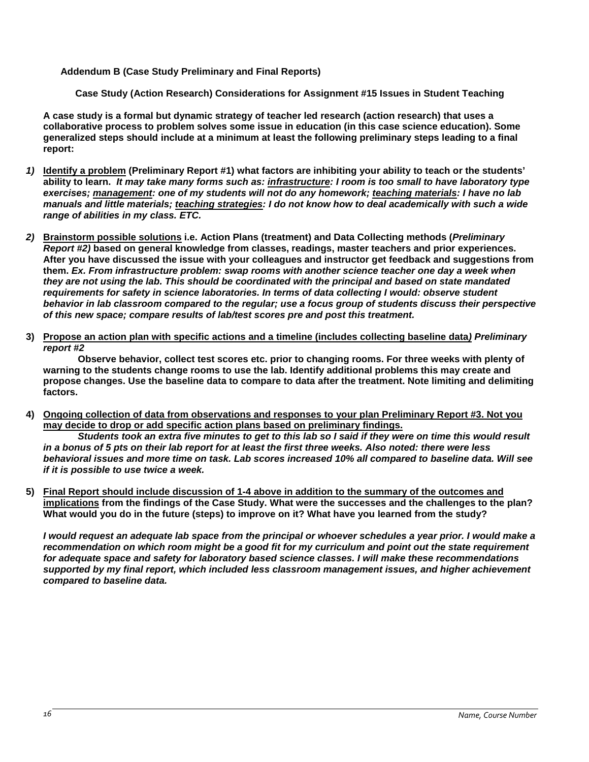**Addendum B (Case Study Preliminary and Final Reports)**

**Case Study (Action Research) Considerations for Assignment #15 Issues in Student Teaching**

**A case study is a formal but dynamic strategy of teacher led research (action research) that uses a collaborative process to problem solves some issue in education (in this case science education). Some generalized steps should include at a minimum at least the following preliminary steps leading to a final report:** 

- *1)* **Identify a problem (Preliminary Report #1) what factors are inhibiting your ability to teach or the students' ability to learn.** *It may take many forms such as: infrastructure: I room is too small to have laboratory type exercises; management: one of my students will not do any homework; teaching materials: I have no lab manuals and little materials; teaching strategies: I do not know how to deal academically with such a wide range of abilities in my class. ETC.*
- *2)* **Brainstorm possible solutions i.e. Action Plans (treatment) and Data Collecting methods (***Preliminary Report #2)* **based on general knowledge from classes, readings, master teachers and prior experiences. After you have discussed the issue with your colleagues and instructor get feedback and suggestions from them.** *Ex. From infrastructure problem: swap rooms with another science teacher one day a week when they are not using the lab. This should be coordinated with the principal and based on state mandated requirements for safety in science laboratories. In terms of data collecting I would: observe student behavior in lab classroom compared to the regular; use a focus group of students discuss their perspective of this new space; compare results of lab/test scores pre and post this treatment.*
- **3) Propose an action plan with specific actions and a timeline (includes collecting baseline data***) Preliminary report #2*

**Observe behavior, collect test scores etc. prior to changing rooms. For three weeks with plenty of warning to the students change rooms to use the lab. Identify additional problems this may create and propose changes. Use the baseline data to compare to data after the treatment. Note limiting and delimiting factors.**

**4) Ongoing collection of data from observations and responses to your plan Preliminary Report #3. Not you may decide to drop or add specific action plans based on preliminary findings.**

*Students took an extra five minutes to get to this lab so I said if they were on time this would result in a bonus of 5 pts on their lab report for at least the first three weeks. Also noted: there were less behavioral issues and more time on task. Lab scores increased 10% all compared to baseline data. Will see if it is possible to use twice a week.*

**5) Final Report should include discussion of 1-4 above in addition to the summary of the outcomes and implications from the findings of the Case Study. What were the successes and the challenges to the plan? What would you do in the future (steps) to improve on it? What have you learned from the study?**

*I* would request an adequate lab space from the principal or whoever schedules a year prior. I would make a *recommendation on which room might be a good fit for my curriculum and point out the state requirement for adequate space and safety for laboratory based science classes. I will make these recommendations supported by my final report, which included less classroom management issues, and higher achievement compared to baseline data.*